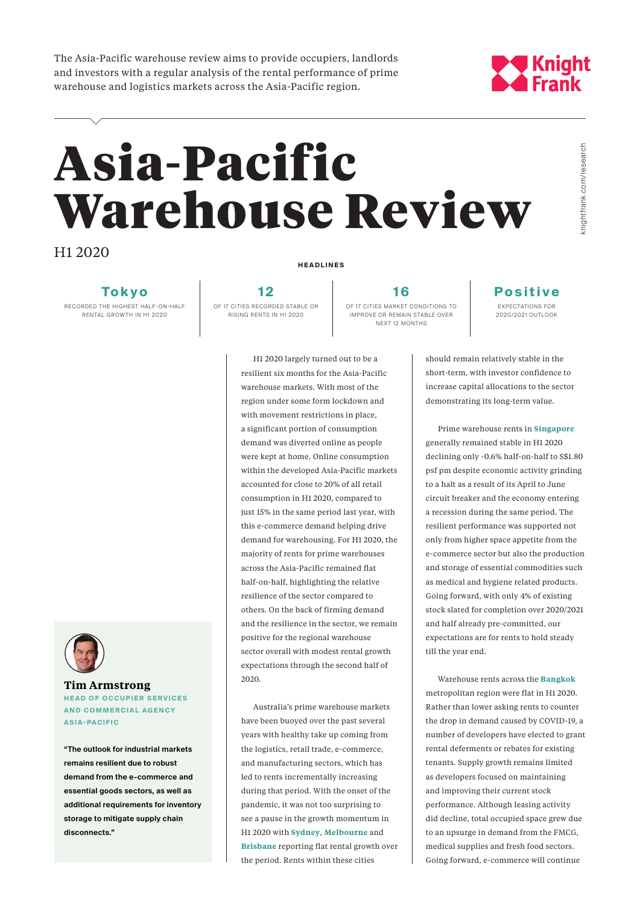The Asia-Pacific warehouse review aims to provide occupiers, landlords and investors with a regular analysis of the rental performance of prime warehouse and logistics markets across the Asia-Pacific region.

## **y Knight**<br>A Frank

# Asia-Pacific Warehouse Review

H1 2020

**Tokyo**

RECORDED THE HIGHEST HALF - ON-HALF RENTAL GROWTH IN H1 2020



### **Tim Armstrong HEAD OF OCCUPIER SERVICES AND COMMERCIAL AGENCY**

**ASIA-PACIFIC**

**"The outlook for industrial markets remains resilient due to robust demand from the e-commerce and essential goods sectors, as well as additional requirements for inventory storage to mitigate supply chain disconnects."**

**HEADLINES**

**1 2** OF 17 CITIES RECORDED STABLE OR RISING RENTS IN H1 2020

**1 6** OF 17 CITIES MARKET CONDITIONS TO IMPROVE OR REMAIN STABLE OVER NEXT 12 MONTHS

#### **P o s i t i v e**  EXPECTATIONS FOR 2020/2021 OUTLOOK

H1 2020 largely turned out to be a resilient six months for the Asia-Pacific warehouse markets. With most of the region under some form lockdown and with movement restrictions in place, a significant portion of consumption demand was diverted online as people were kept at home. Online consumption within the developed Asia-Pacific markets accounted for close to 20% of all retail consumption in H1 2020, compared to just 15% in the same period last year, with this e-commerce demand helping drive demand for warehousing. For H1 2020, the majority of rents for prime warehouses across the Asia-Pacific remained flat half-on-half, highlighting the relative resilience of the sector compared to others. On the back of firming demand and the resilience in the sector, we remain positive for the regional warehouse sector overall with modest rental growth expectations through the second half of 2020.

Australia's prime warehouse markets have been buoyed over the past several years with healthy take up coming from the logistics, retail trade, e-commerce, and manufacturing sectors, which has led to rents incrementally increasing during that period. With the onset of the pandemic, it was not too surprising to see a pause in the growth momentum in H1 2020 with **Sydney**, **Melbourne** and **Brisbane** reporting flat rental growth over the period. Rents within these cities

should remain relatively stable in the short-term, with investor confidence to increase capital allocations to the sector demonstrating its long-term value.

Prime warehouse rents in **Singapore** generally remained stable in H1 2020 declining only -0.6% half-on-half to S\$1.80 psf pm despite economic activity grinding to a halt as a result of its April to June circuit breaker and the economy entering a recession during the same period. The resilient performance was supported not only from higher space appetite from the e-commerce sector but also the production and storage of essential commodities such as medical and hygiene related products. Going forward, with only 4% of existing stock slated for completion over 2020/2021 and half already pre-committed, our expectations are for rents to hold steady till the year end.

Warehouse rents across the **Bangkok** metropolitan region were flat in H1 2020. Rather than lower asking rents to counter the drop in demand caused by COVID-19, a number of developers have elected to grant rental deferments or rebates for existing tenants. Supply growth remains limited as developers focused on maintaining and improving their current stock performance. Although leasing activity did decline, total occupied space grew due to an upsurge in demand from the FMCG, medical supplies and fresh food sectors. Going forward, e-commerce will continue